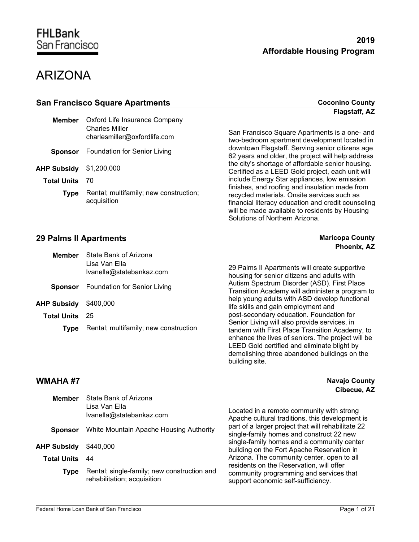**Coconino County** 

## ARIZONA

|                    |                                                       | Flagstaff, AZ                                                                                                                                                                                                                          |
|--------------------|-------------------------------------------------------|----------------------------------------------------------------------------------------------------------------------------------------------------------------------------------------------------------------------------------------|
| <b>Member</b>      | Oxford Life Insurance Company                         |                                                                                                                                                                                                                                        |
|                    | <b>Charles Miller</b><br>charlesmiller@oxfordlife.com | San Francisco Square Apartments is a one- and<br>two-bedroom apartment development located in                                                                                                                                          |
| <b>Sponsor</b>     | Foundation for Senior Living                          | downtown Flagstaff. Serving senior citizens age<br>62 years and older, the project will help address                                                                                                                                   |
| <b>AHP Subsidy</b> | \$1,200,000                                           | the city's shortage of affordable senior housing.<br>Certified as a LEED Gold project, each unit will                                                                                                                                  |
| <b>Total Units</b> | 70                                                    | include Energy Star appliances, low emission                                                                                                                                                                                           |
| <b>Type</b>        | Rental; multifamily; new construction;<br>acquisition | finishes, and roofing and insulation made from<br>recycled materials. Onsite services such as<br>financial literacy education and credit counseling<br>will be made available to residents by Housing<br>Solutions of Northern Arizona |

| Member                | State Bank of Arizona<br>Lisa Van Ella<br>Ivanella@statebankaz.com |  |
|-----------------------|--------------------------------------------------------------------|--|
|                       | <b>Sponsor</b> Foundation for Senior Living                        |  |
| AHP Subsidy \$400,000 |                                                                    |  |
| <b>Total Units</b> 25 |                                                                    |  |
| <b>Type</b>           | Rental; multifamily; new construction                              |  |
|                       |                                                                    |  |

financial literacy education and credit counseling Solutions of Northern Arizona. **29 Palms II Apartments Maricopa County Maricopa County Phoenix, AZ**

> 29 Palms II Apartments will create supportive housing for senior citizens and adults with Autism Spectrum Disorder (ASD). First Place Transition Academy will administer a program to help young adults with ASD develop functional ife skills and gain employment and post-secondary education. Foundation for Senior Living will also provide services, in tandem with First Place Transition Academy, to enhance the lives of seniors. The project will be LEED Gold certified and eliminate blight by demolishing three abandoned buildings on the building site.

#### **WMAHA #7 Navajo County**

|                    |                                                                            | Cibecue, AZ                                                                                                               |
|--------------------|----------------------------------------------------------------------------|---------------------------------------------------------------------------------------------------------------------------|
| <b>Member</b>      | State Bank of Arizona<br>Lisa Van Ella<br>Ivanella@statebankaz.com         | Located in a remote community with strong<br>Apache cultural traditions, this development is                              |
| <b>Sponsor</b>     | White Mountain Apache Housing Authority                                    | part of a larger project that will rehabilitate 22<br>single-family homes and construct 22 new                            |
| <b>AHP Subsidy</b> | \$440,000                                                                  | single-family homes and a community center<br>building on the Fort Apache Reservation in                                  |
| Total Units        | -44                                                                        | Arizona. The community center, open to all                                                                                |
| Type               | Rental; single-family; new construction and<br>rehabilitation; acquisition | residents on the Reservation, will offer<br>community programming and services that<br>support economic self-sufficiency. |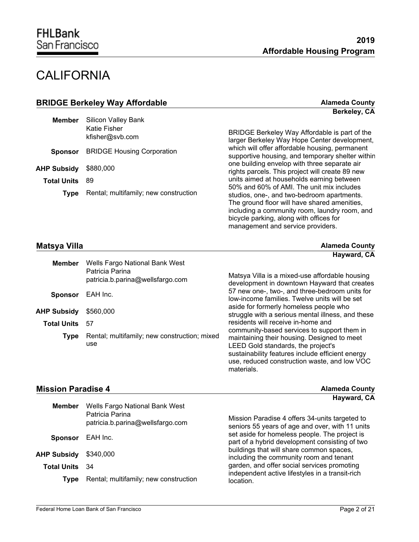management and service providers.

# **CALIFORNIA**

| <b>BRIDGE Berkeley Way Affordable</b> |                                       | <b>Alameda County</b>                                                                                                                                                                                                               |
|---------------------------------------|---------------------------------------|-------------------------------------------------------------------------------------------------------------------------------------------------------------------------------------------------------------------------------------|
|                                       |                                       | Berkeley, CA                                                                                                                                                                                                                        |
| <b>Member</b>                         | <b>Silicon Valley Bank</b>            |                                                                                                                                                                                                                                     |
|                                       | Katie Fisher<br>kfisher@svb.com       | BRIDGE Berkeley Way Affordable is part of the<br>larger Berkeley Way Hope Center development,                                                                                                                                       |
| <b>Sponsor</b>                        | <b>BRIDGE Housing Corporation</b>     | which will offer affordable housing, permanent<br>supportive housing, and temporary shelter within                                                                                                                                  |
| <b>AHP Subsidy</b>                    | \$880,000                             | one building envelop with three separate air<br>rights parcels. This project will create 89 new                                                                                                                                     |
| <b>Total Units</b>                    | 89                                    | units aimed at households earning between                                                                                                                                                                                           |
| <b>Type</b>                           | Rental; multifamily; new construction | 50% and 60% of AMI. The unit mix includes<br>studios, one-, and two-bedroom apartments.<br>The ground floor will have shared amenities,<br>including a community room, laundry room, and<br>bicycle parking, along with offices for |

### **Matsya Villa Alameda County**

| <b>Member</b>      | Wells Fargo National Bank West                      | Hayward, CA                                                                                                                                                                                                                          |
|--------------------|-----------------------------------------------------|--------------------------------------------------------------------------------------------------------------------------------------------------------------------------------------------------------------------------------------|
|                    | Patricia Parina<br>patricia.b.parina@wellsfargo.com | Matsya Villa is a mixed-use affordable housing<br>development in downtown Hayward that creates                                                                                                                                       |
| <b>Sponsor</b>     | EAH Inc.                                            | 57 new one-, two-, and three-bedroom units for<br>low-income families. Twelve units will be set                                                                                                                                      |
| <b>AHP Subsidy</b> | \$560,000                                           | aside for formerly homeless people who<br>struggle with a serious mental illness, and these                                                                                                                                          |
| <b>Total Units</b> | 57                                                  | residents will receive in-home and                                                                                                                                                                                                   |
| <b>Type</b>        | Rental; multifamily; new construction; mixed<br>use | community-based services to support them in<br>maintaining their housing. Designed to meet<br>LEED Gold standards, the project's<br>sustainability features include efficient energy<br>use, reduced construction waste, and low VOC |

materials.

#### **Mission Paradise 4 Alameda County**

| <b>Member</b>      | Wells Fargo National Bank West<br>Patricia Parina<br>patricia.b.parina@wellsfargo.com | Hayward, CA<br>Mission Paradise 4 offers 34-units targeted to<br>seniors 55 years of age and over, with 11 units |  |
|--------------------|---------------------------------------------------------------------------------------|------------------------------------------------------------------------------------------------------------------|--|
| <b>Sponsor</b>     | EAH Inc.                                                                              | set aside for homeless people. The project is<br>part of a hybrid development consisting of two                  |  |
| <b>AHP Subsidy</b> | \$340,000                                                                             | buildings that will share common spaces,<br>including the community room and tenant                              |  |
| <b>Total Units</b> | - 34                                                                                  | garden, and offer social services promoting                                                                      |  |
| Type               | Rental; multifamily; new construction                                                 | independent active lifestyles in a transit-rich<br>location.                                                     |  |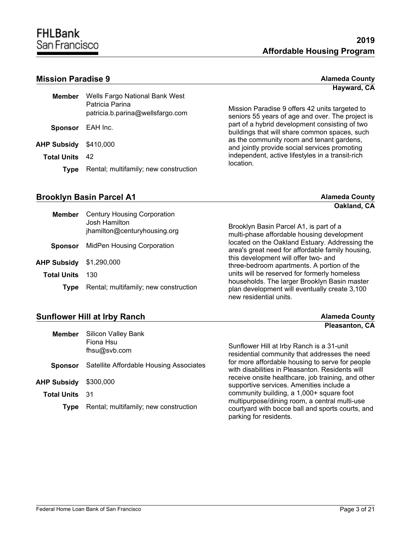### **Mission Paradise 9**

| <b>Alameda County</b> |  |
|-----------------------|--|
| Hayward, CA           |  |

| <b>Member</b>         | Wells Fargo National Bank West<br>Patricia Parina<br>patricia.b.parina@wellsfargo.com | Mission Paradise 9 offers 42 units targeted to<br>seniors 55 years of age and over. The project is |
|-----------------------|---------------------------------------------------------------------------------------|----------------------------------------------------------------------------------------------------|
| <b>Sponsor</b>        | EAH Inc.                                                                              | part of a hybrid development consisting of two<br>buildings that will share common spaces, such    |
| <b>AHP Subsidy</b>    | \$410,000                                                                             | as the community room and tenant gardens,<br>and jointly provide social services promoting         |
| <b>Total Units</b> 42 |                                                                                       | independent, active lifestyles in a transit-rich                                                   |
| Type                  | Rental; multifamily; new construction                                                 | location.                                                                                          |

### **Brooklyn Basin Parcel A1 Alameda County Alameda County**

**Oakland, CA**

**Pleasanton, CA**

|                    |                                                                                     | Vanialia, VA                                                                                                            |
|--------------------|-------------------------------------------------------------------------------------|-------------------------------------------------------------------------------------------------------------------------|
| <b>Member</b>      | <b>Century Housing Corporation</b><br>Josh Hamilton<br>jhamilton@centuryhousing.org | Brooklyn Basin Parcel A1, is part of a<br>multi-phase affordable housing development                                    |
| <b>Sponsor</b>     | MidPen Housing Corporation                                                          | located on the Oakland Estuary. Addressing the<br>area's great need for affordable family housing,                      |
| <b>AHP Subsidy</b> | \$1,290,000                                                                         | this development will offer two- and<br>three-bedroom apartments. A portion of the                                      |
| <b>Total Units</b> | 130                                                                                 | units will be reserved for formerly homeless                                                                            |
| <b>Type</b>        | Rental; multifamily; new construction                                               | households. The larger Brooklyn Basin master<br>plan development will eventually create 3,100<br>new residential units. |

### **Sunflower Hill at Irby Ranch Alameda County Alameda County**

| <b>Member</b>         | <b>Silicon Valley Bank</b><br>Fiona Hsu<br>fhsu@svb.com | Sunflower Hill at Irby Ranch is a 31-unit<br>residential community that addresses the need         |
|-----------------------|---------------------------------------------------------|----------------------------------------------------------------------------------------------------|
| <b>Sponsor</b>        | Satellite Affordable Housing Associates                 | for more affordable housing to serve for people<br>with disabilities in Pleasanton. Residents will |
| AHP Subsidy           | \$300,000                                               | receive onsite healthcare, job training, and other<br>supportive services. Amenities include a     |
| <b>Total Units</b> 31 |                                                         | community building, a 1,000+ square foot<br>multipurpose/dining room, a central multi-use          |
| <b>Type</b>           | Rental; multifamily; new construction                   | courtyard with bocce ball and sports courts, and<br>parking for residents.                         |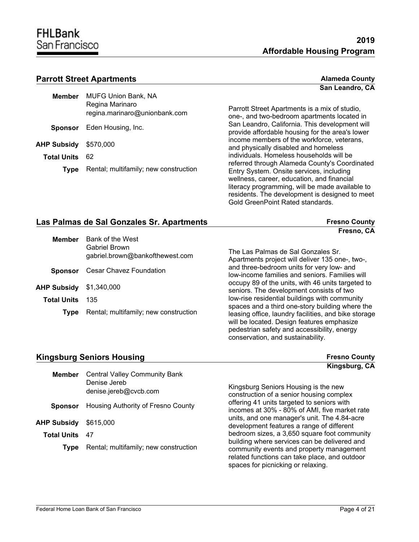## **FHLBank** San Francisco

**San Leandro, CA**

#### **Parrott Street Apartments Alameda County Alameda County**

| Member                | <b>MUFG Union Bank, NA</b><br>Regina Marinaro<br>regina.marinaro@unionbank.com |  |
|-----------------------|--------------------------------------------------------------------------------|--|
|                       | Sponsor Eden Housing, Inc.                                                     |  |
| AHP Subsidy \$570,000 |                                                                                |  |
| <b>Total Units</b>    | -62                                                                            |  |
| <b>Type</b>           | Rental; multifamily; new construction                                          |  |
|                       |                                                                                |  |

Parrott Street Apartments is a mix of studio, one-, and two-bedroom apartments located in San Leandro, California. This development will provide affordable housing for the area's lower income members of the workforce, veterans, and physically disabled and homeless individuals. Homeless households will be referred through Alameda County's Coordinated Entry System. Onsite services, including wellness, career, education, and financial literacy programming, will be made available to residents. The development is designed to meet Gold GreenPoint Rated standards.

will be located. Design features emphasize pedestrian safety and accessibility, energy

conservation, and sustainability.

| Las Palmas de Sal Gonzales Sr. Apartments |                                       | <b>Fresno County</b>                                                                                    |  |
|-------------------------------------------|---------------------------------------|---------------------------------------------------------------------------------------------------------|--|
|                                           |                                       | Fresno, CA                                                                                              |  |
| <b>Member</b>                             | Bank of the West                      |                                                                                                         |  |
|                                           | Gabriel Brown                         | The Las Palmas de Sal Gonzales Sr.                                                                      |  |
|                                           | gabriel.brown@bankofthewest.com       | Apartments project will deliver 135 one-, two-,                                                         |  |
| <b>Sponsor</b>                            | Cesar Chavez Foundation               | and three-bedroom units for very low- and                                                               |  |
|                                           |                                       | low-income families and seniors. Families will                                                          |  |
| <b>AHP Subsidy</b>                        | \$1,340,000                           | occupy 89 of the units, with 46 units targeted to<br>seniors. The development consists of two           |  |
|                                           |                                       | low-rise residential buildings with community                                                           |  |
| <b>Total Units</b>                        | 135                                   |                                                                                                         |  |
| <b>Type</b>                               | Rental; multifamily; new construction | spaces and a third one-story building where the<br>leasing office, laundry facilities, and bike storage |  |

**Kingsburg Seniors Housing <b>Figure 2018 Figure 2018 Figure 2018 Figure 2018 Figure 2018** 

**Kingsburg, CA**

| <b>Member</b>      | <b>Central Valley Community Bank</b>  |                                                                                                                                                                                 |
|--------------------|---------------------------------------|---------------------------------------------------------------------------------------------------------------------------------------------------------------------------------|
|                    | Denise Jereb<br>denise.jereb@cvcb.com | Kingsburg Seniors Housing is the new<br>construction of a senior housing complex                                                                                                |
| <b>Sponsor</b>     | Housing Authority of Fresno County    | offering 41 units targeted to seniors with<br>incomes at 30% - 80% of AMI, five market rate                                                                                     |
| <b>AHP Subsidy</b> | \$615,000                             | units, and one manager's unit. The 4.84-acre<br>development features a range of different                                                                                       |
| <b>Total Units</b> | -47                                   | bedroom sizes, a 3,650 square foot community                                                                                                                                    |
| Type               | Rental; multifamily; new construction | building where services can be delivered and<br>community events and property management<br>related functions can take place, and outdoor<br>spaces for picnicking or relaxing. |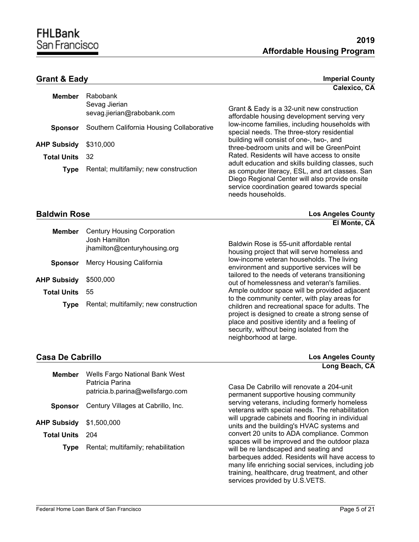**Calexico, CA**

### **Grant & Eady Imperial County**

| <b>Member</b>      | Rabobank<br>Sevag Jierian<br>sevag.jierian@rabobank.com | G<br>af  |
|--------------------|---------------------------------------------------------|----------|
| <b>Sponsor</b>     | Southern California Housing Collaborative               | lo<br>sŗ |
| <b>AHP Subsidy</b> | \$310,000                                               | bι<br>th |
| <b>Total Units</b> | 32                                                      | R        |
| <b>Type</b>        | Rental; multifamily; new construction                   | a<br>as  |
|                    |                                                         | D        |

Grant & Eady is a 32-unit new construction ffordable housing development serving very w-income families, including households with pecial needs. The three-story residential building will consist of one-, two-, and aree-bedroom units and will be GreenPoint ated. Residents will have access to onsite dult education and skills building classes, such s computer literacy, ESL, and art classes. San Diego Regional Center will also provide onsite service coordination geared towards special needs households.

#### **Baldwin Rose Los Angeles County**

|                    |                                                                                     | El Monte, CA                                                                                                                                                                                                                                    |
|--------------------|-------------------------------------------------------------------------------------|-------------------------------------------------------------------------------------------------------------------------------------------------------------------------------------------------------------------------------------------------|
| <b>Member</b>      | <b>Century Housing Corporation</b><br>Josh Hamilton<br>jhamilton@centuryhousing.org | Baldwin Rose is 55-unit affordable rental<br>housing project that will serve homeless and                                                                                                                                                       |
| <b>Sponsor</b>     | Mercy Housing California                                                            | low-income veteran households. The living<br>environment and supportive services will be                                                                                                                                                        |
| <b>AHP Subsidy</b> | \$500,000                                                                           | tailored to the needs of veterans transitioning<br>out of homelessness and veteran's families.                                                                                                                                                  |
| <b>Total Units</b> | 55                                                                                  | Ample outdoor space will be provided adjacent                                                                                                                                                                                                   |
| <b>Type</b>        | Rental; multifamily; new construction                                               | to the community center, with play areas for<br>children and recreational space for adults. The<br>project is designed to create a strong sense of<br>place and positive identity and a feeling of<br>security, without being isolated from the |

| <b>Casa De Cabrillo</b> |                                                     | <b>Los Angeles County</b>                 |  |
|-------------------------|-----------------------------------------------------|-------------------------------------------|--|
|                         |                                                     | Long Beach, CA                            |  |
| Member                  | Wells Fargo National Bank West                      |                                           |  |
|                         | Patricia Parina<br>natricia h narina@wellefargo com | Casa De Cabrillo will renovate a 204-unit |  |

neighborhood at large.

|                    | patricia.b.parina@wellsfargo.com    | <u>OUJU DU OUDINO WIII IUNUWUW U LUT UNII</u><br>permanent supportive housing community                                                                                                                                                                                             |
|--------------------|-------------------------------------|-------------------------------------------------------------------------------------------------------------------------------------------------------------------------------------------------------------------------------------------------------------------------------------|
| <b>Sponsor</b>     | Century Villages at Cabrillo, Inc.  | serving veterans, including formerly homeless<br>veterans with special needs. The rehabilitation                                                                                                                                                                                    |
| AHP Subsidy        | \$1,500,000                         | will upgrade cabinets and flooring in individual<br>units and the building's HVAC systems and                                                                                                                                                                                       |
| <b>Total Units</b> | 204                                 | convert 20 units to ADA compliance. Common                                                                                                                                                                                                                                          |
| Tvpe               | Rental; multifamily; rehabilitation | spaces will be improved and the outdoor plaza<br>will be re landscaped and seating and<br>barbeques added. Residents will have access to<br>many life enriching social services, including job<br>training, healthcare, drug treatment, and other<br>services provided by U.S.VETS. |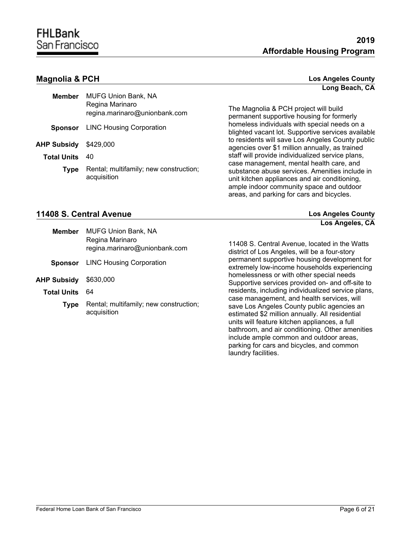| Member                | <b>MUFG Union Bank, NA</b><br>Regina Marinaro<br>regina.marinaro@unionbank.com |
|-----------------------|--------------------------------------------------------------------------------|
|                       | <b>Sponsor</b> LINC Housing Corporation                                        |
| AHP Subsidy \$429,000 |                                                                                |
| <b>Total Units</b>    | 40                                                                             |
| <b>Type</b>           | Rental; multifamily; new construction;<br>acquisition                          |

**Magnolia & PCH Los Angeles County Long Beach, CA**

**Los Angeles, CA**

The Magnolia & PCH project will build permanent supportive housing for formerly homeless individuals with special needs on a blighted vacant lot. Supportive services available to residents will save Los Angeles County public agencies over \$1 million annually, as trained staff will provide individualized service plans, case management, mental health care, and substance abuse services. Amenities include in unit kitchen appliances and air conditioning, ample indoor community space and outdoor areas, and parking for cars and bicycles.

#### **11408 S. Central Avenue Los Angeles County**

| <b>MUFG Union Bank, NA</b><br>Regina Marinaro<br>regina.marinaro@unionbank.com |
|--------------------------------------------------------------------------------|
| <b>Sponsor</b> LINC Housing Corporation                                        |
| \$630,000                                                                      |
| 64                                                                             |
| Rental; multifamily; new construction;<br>acquisition                          |
|                                                                                |

11408 S. Central Avenue, located in the Watts district of Los Angeles, will be a four-story permanent supportive housing development for extremely low-income households experiencing homelessness or with other special needs Supportive services provided on- and off-site to residents, including individualized service plans, case management, and health services, will save Los Angeles County public agencies an estimated \$2 million annually. All residential units will feature kitchen appliances, a full bathroom, and air conditioning. Other amenities include ample common and outdoor areas, parking for cars and bicycles, and common laundry facilities.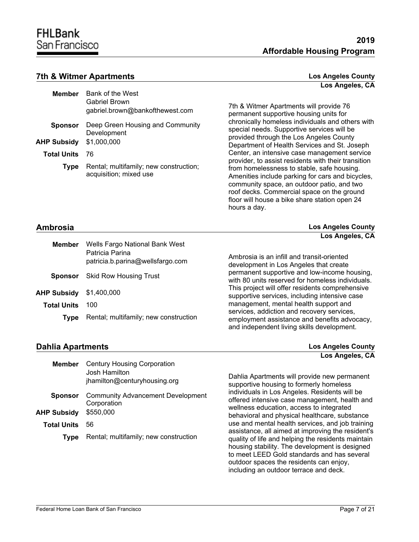#### **7th & Witmer Apartments Los Angeles County**

|                    |                                                                  | Los Angeles, CA                                                                                                                                                                                                                                                                                                    |
|--------------------|------------------------------------------------------------------|--------------------------------------------------------------------------------------------------------------------------------------------------------------------------------------------------------------------------------------------------------------------------------------------------------------------|
| <b>Member</b>      | Bank of the West                                                 |                                                                                                                                                                                                                                                                                                                    |
|                    | Gabriel Brown<br>gabriel.brown@bankofthewest.com                 | 7th & Witmer Apartments will provide 76<br>permanent supportive housing units for                                                                                                                                                                                                                                  |
| <b>Sponsor</b>     | Deep Green Housing and Community<br>Development                  | chronically homeless individuals and others with<br>special needs. Supportive services will be<br>provided through the Los Angeles County                                                                                                                                                                          |
| <b>AHP Subsidy</b> | \$1,000,000                                                      | Department of Health Services and St. Joseph                                                                                                                                                                                                                                                                       |
| <b>Total Units</b> | 76                                                               | Center, an intensive case management service                                                                                                                                                                                                                                                                       |
| <b>Type</b>        | Rental; multifamily; new construction;<br>acquisition; mixed use | provider, to assist residents with their transition<br>from homelessness to stable, safe housing.<br>Amenities include parking for cars and bicycles,<br>community space, an outdoor patio, and two<br>roof decks. Commercial space on the ground<br>floor will house a bike share station open 24<br>hours a day. |

| Ambrosia           |                                                                                       | <b>Los Angeles County</b>                                                                                                                |  |
|--------------------|---------------------------------------------------------------------------------------|------------------------------------------------------------------------------------------------------------------------------------------|--|
|                    |                                                                                       | Los Angeles, CA                                                                                                                          |  |
| <b>Member</b>      | Wells Fargo National Bank West<br>Patricia Parina<br>patricia.b.parina@wellsfargo.com | Ambrosia is an infill and transit-oriented<br>development in Los Angeles that create                                                     |  |
| <b>Sponsor</b>     | <b>Skid Row Housing Trust</b>                                                         | permanent supportive and low-income housing,<br>with 80 units reserved for homeless individuals.                                         |  |
| <b>AHP Subsidy</b> | \$1,400,000                                                                           | This project will offer residents comprehensive<br>supportive services, including intensive case                                         |  |
| <b>Total Units</b> | 100                                                                                   | management, mental health support and                                                                                                    |  |
| Type               | Rental; multifamily; new construction                                                 | services, addiction and recovery services,<br>employment assistance and benefits advocacy,<br>and independent living skills development. |  |

#### **Dahlia Apartments Los Angeles County**

| Member             | <b>Century Housing Corporation</b><br>Josh Hamilton<br>jhamilton@centuryhousing.org | Dahlia Ar<br>supportiv               |
|--------------------|-------------------------------------------------------------------------------------|--------------------------------------|
| <b>Sponsor</b>     | <b>Community Advancement Development</b><br>Corporation                             | individual<br>offered in<br>wellness |
| <b>AHP Subsidy</b> | \$550,000                                                                           | behaviora                            |
| <b>Total Units</b> | 56                                                                                  | use and r<br>assistanc               |
| <b>Type</b>        | Rental; multifamily; new construction                                               | quality of<br>housing s              |

bartments will provide new permanent e housing to formerly homeless Is in Los Angeles. Residents will be tensive case management, health and education, access to integrated al and physical healthcare, substance mental health services, and job training e, all aimed at improving the resident's life and helping the residents maintain stability. The development is designed to meet LEED Gold standards and has several outdoor spaces the residents can enjoy, including an outdoor terrace and deck.

**Los Angeles, CA**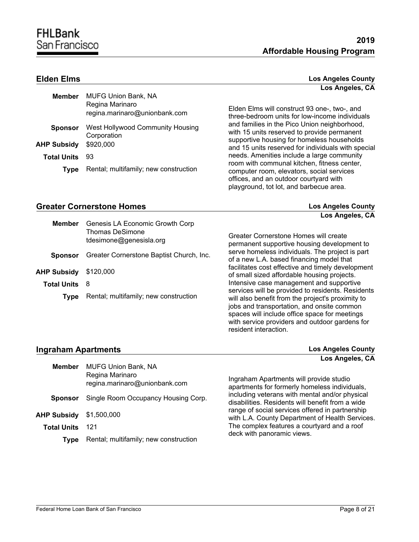| Member             | <b>MUFG Union Bank, NA</b><br>Regina Marinaro<br>regina.marinaro@unionbank.com |
|--------------------|--------------------------------------------------------------------------------|
| <b>Sponsor</b>     | West Hollywood Community Housing<br>Corporation                                |
| <b>AHP Subsidy</b> | \$920,000                                                                      |
| <b>Total Units</b> | 93                                                                             |
| <b>Type</b>        | Rental; multifamily; new construction                                          |

**Elden Elms Los Angeles County Los Angeles, CA**

> Elden Elms will construct 93 one-, two-, and three-bedroom units for low-income individuals and families in the Pico Union neighborhood, with 15 units reserved to provide permanent supportive housing for homeless households and 15 units reserved for individuals with special needs. Amenities include a large community room with communal kitchen, fitness center, computer room, elevators, social services offices, and an outdoor courtyard with playground, tot lot, and barbecue area.

#### **Greater Cornerstone Homes Los Angeles County**

**Los Angeles, CA**

| <b>Member</b>      | Genesis LA Economic Growth Corp<br><b>Thomas DeSimone</b><br>tdesimone@genesisla.org | Greater Cornerstone Homes will create                                                                                                                                                                                                                   |
|--------------------|--------------------------------------------------------------------------------------|---------------------------------------------------------------------------------------------------------------------------------------------------------------------------------------------------------------------------------------------------------|
| <b>Sponsor</b>     | Greater Cornerstone Baptist Church, Inc.                                             | permanent supportive housing development to<br>serve homeless individuals. The project is part<br>of a new L.A. based financing model that                                                                                                              |
| <b>AHP Subsidy</b> | \$120,000                                                                            | facilitates cost effective and timely development<br>of small sized affordable housing projects.                                                                                                                                                        |
| <b>Total Units</b> | -8                                                                                   | Intensive case management and supportive                                                                                                                                                                                                                |
| Type               | Rental; multifamily; new construction                                                | services will be provided to residents. Residents<br>will also benefit from the project's proximity to<br>jobs and transportation, and onsite common<br>spaces will include office space for meetings<br>with service providers and outdoor gardens for |

resident interaction.

#### **Ingraham Apartments Los Angeles County**

**Los Angeles, CA**

| <b>Member</b>      | <b>MUFG Union Bank, NA</b><br>Regina Marinaro<br>regina.marinaro@unionbank.com | Ingraham Apartments will provide studio<br>apartments for formerly homeless individuals,           |
|--------------------|--------------------------------------------------------------------------------|----------------------------------------------------------------------------------------------------|
| <b>Sponsor</b>     | Single Room Occupancy Housing Corp.                                            | including veterans with mental and/or physical<br>disabilities. Residents will benefit from a wide |
| <b>AHP Subsidy</b> | \$1,500,000                                                                    | range of social services offered in partnership<br>with L.A. County Department of Health Services. |
| <b>Total Units</b> | 121                                                                            | The complex features a courtyard and a roof<br>deck with panoramic views.                          |
| Type               | Rental; multifamily; new construction                                          |                                                                                                    |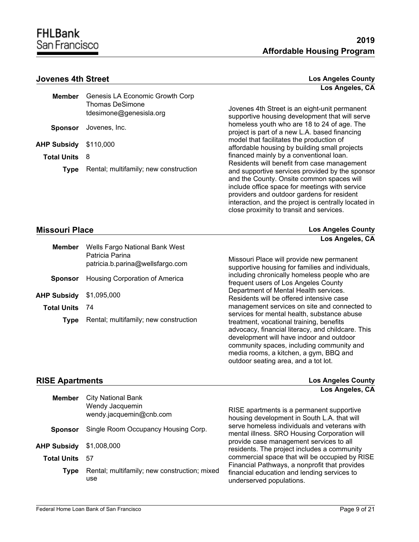#### **Jovenes 4th Street**

|  | <b>Los Angeles County</b> |  |
|--|---------------------------|--|
|  | Los Angeles, CA           |  |

| <b>Member</b>        | Genesis LA Economic Growth Corp                   |                                                                                                                                                                                                                                                      |
|----------------------|---------------------------------------------------|------------------------------------------------------------------------------------------------------------------------------------------------------------------------------------------------------------------------------------------------------|
|                      | <b>Thomas DeSimone</b><br>tdesimone@genesisla.org | Jovenes 4th Street is an eight-unit permanent<br>supportive housing development that will serve                                                                                                                                                      |
| <b>Sponsor</b>       | Jovenes, Inc.                                     | homeless youth who are 18 to 24 of age. The<br>project is part of a new L.A. based financing                                                                                                                                                         |
| <b>AHP Subsidy</b>   | \$110,000                                         | model that facilitates the production of<br>affordable housing by building small projects                                                                                                                                                            |
| <b>Total Units</b> 8 |                                                   | financed mainly by a conventional loan.<br>Residents will benefit from case management                                                                                                                                                               |
| <b>Type</b>          | Rental; multifamily; new construction             | and supportive services provided by the sponsor<br>and the County. Onsite common spaces will<br>include office space for meetings with service<br>providers and outdoor gardens for resident<br>interaction, and the project is centrally located in |

| <b>Missouri Place</b> | <b>Los Angeles County</b> |
|-----------------------|---------------------------|
|                       | Los Angeles, CA           |

| Member             | Wells Fargo National Bank West<br>Patricia Parina<br>patricia.b.parina@wellsfargo.com |
|--------------------|---------------------------------------------------------------------------------------|
|                    | <b>Sponsor</b> Housing Corporation of America                                         |
| AHP Subsidy        | \$1,095,000                                                                           |
| <b>Total Units</b> | - 74                                                                                  |
| <b>Type</b>        | Rental; multifamily; new construction                                                 |
|                    |                                                                                       |

Missouri Place will provide new permanent supportive housing for families and individuals, including chronically homeless people who are frequent users of Los Angeles County Department of Mental Health services. Residents will be offered intensive case management services on site and connected to services for mental health, substance abuse treatment, vocational training, benefits advocacy, financial literacy, and childcare. This development will have indoor and outdoor community spaces, including community and media rooms, a kitchen, a gym, BBQ and outdoor seating area, and a tot lot.

close proximity to transit and services.

| <b>RISE Apartments</b> |                                            | <b>Los Angeles County</b>                                                                     |  |
|------------------------|--------------------------------------------|-----------------------------------------------------------------------------------------------|--|
| <b>Member</b>          | <b>City National Bank</b>                  | Los Angeles, CA                                                                               |  |
|                        | Wendy Jacquemin<br>wendy.jacquemin@cnb.com | RISE apartments is a permanent supportive<br>housing development in South L.A. that will      |  |
| <b>Sponsor</b>         | Single Room Occupancy Housing Corp.        | serve homeless individuals and veterans with<br>asantal illassa. CDO Ususias Caracratica will |  |

**AHP Subsidy** \$1,008,000

- **Total Units** 57
	- **Type** Rental; multifamily; new construction; mixed use

mental illness. SRO Housing Corporation will provide case management services to all residents. The project includes a community commercial space that will be occupied by RISE Financial Pathways, a nonprofit that provides financial education and lending services to underserved populations.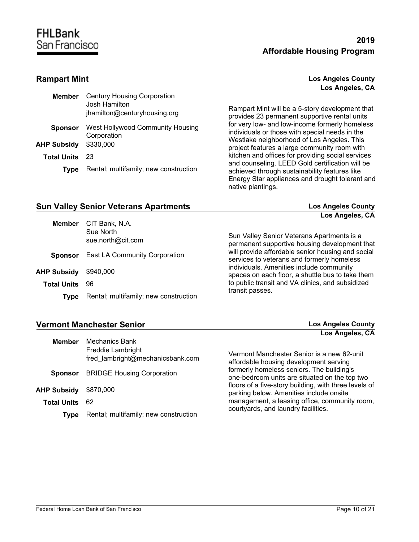#### **Rampart Mint**

| <b>Los Angeles County</b> |  |
|---------------------------|--|
| Los Angeles, CA           |  |

| Member             | <b>Century Housing Corporation</b><br>Josh Hamilton.<br>jhamilton@centuryhousing.org |
|--------------------|--------------------------------------------------------------------------------------|
| <b>Sponsor</b>     | West Hollywood Community Housing<br>Corporation                                      |
| AHP Subsidv        | \$330,000                                                                            |
| <b>Total Units</b> | -23                                                                                  |
| <b>Type</b>        | Rental; multifamily; new construction                                                |
|                    |                                                                                      |

Rampart Mint will be a 5-story development that provides 23 permanent supportive rental units for very low- and low-income formerly homeless individuals or those with special needs in the Westlake neighborhood of Los Angeles. This project features a large community room with kitchen and offices for providing social services and counseling. LEED Gold certification will be achieved through sustainability features like Energy Star appliances and drought tolerant and native plantings.

#### **Sun Valley Senior Veterans Apartments Los Angeles County**

| <b>Member</b>      | CIT Bank, N.A.                        | Los Angeles, CA                                                                                 |
|--------------------|---------------------------------------|-------------------------------------------------------------------------------------------------|
|                    | Sue North<br>sue.north@cit.com        | Sun Valley Senior Veterans Apartments is a<br>permanent supportive housing development that     |
| <b>Sponsor</b>     | East LA Community Corporation         | will provide affordable senior housing and social<br>services to veterans and formerly homeless |
| <b>AHP Subsidy</b> | \$940,000                             | individuals. Amenities include community<br>spaces on each floor, a shuttle bus to take them    |
| <b>Total Units</b> | 96                                    | to public transit and VA clinics, and subsidized                                                |
| Type               | Rental; multifamily; new construction | transit passes.                                                                                 |

### **Vermont Manchester Senior Los Angeles County**

| <b>Member</b>         | Mechanics Bank                                               |                                                                                                  |
|-----------------------|--------------------------------------------------------------|--------------------------------------------------------------------------------------------------|
|                       | <b>Freddie Lambright</b><br>fred lambright@mechanicsbank.com | Vermont Manchester Senior is a new 62-unit<br>affordable housing development serving             |
| <b>Sponsor</b>        | <b>BRIDGE Housing Corporation</b>                            | formerly homeless seniors. The building's<br>one-bedroom units are situated on the top two       |
| <b>AHP Subsidy</b>    | \$870,000                                                    | floors of a five-story building, with three levels of<br>parking below. Amenities include onsite |
| <b>Total Units</b> 62 |                                                              | management, a leasing office, community room,                                                    |
| <b>Type</b>           | Rental; multifamily; new construction                        | courtyards, and laundry facilities.                                                              |
|                       |                                                              |                                                                                                  |

**Los Angeles, CA**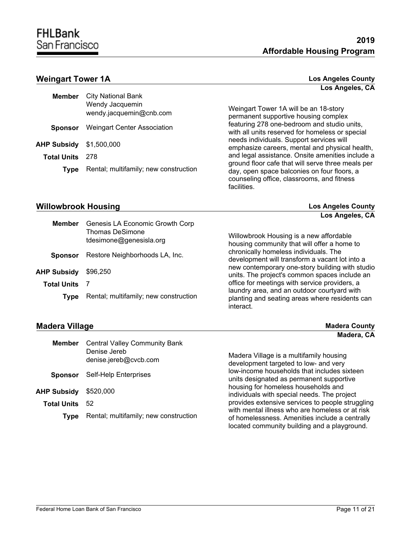#### **Weingart Tower 1A Los Angeles County**

| Member                         | City National Bank<br>Wendy Jacquemin<br>wendy.jacquemin@cnb.com |  |
|--------------------------------|------------------------------------------------------------------|--|
| Sponsor                        | <b>Weingart Center Association</b>                               |  |
| <b>AHP Subsidy</b> \$1,500,000 |                                                                  |  |
| <b>Total Units</b>             | -278                                                             |  |
| <b>Type</b>                    | Rental; multifamily; new construction                            |  |
|                                |                                                                  |  |

**Los Angeles, CA**

Weingart Tower 1A will be an 18-story permanent supportive housing complex featuring 278 one-bedroom and studio units, with all units reserved for homeless or special needs individuals. Support services will emphasize careers, mental and physical health, and legal assistance. Onsite amenities include a ground floor cafe that will serve three meals per day, open space balconies on four floors, a counseling office, classrooms, and fitness facilities.

### **Willowbrook Housing Los Angeles County**

**Los Angeles, CA**

| <b>Member</b>      | Genesis LA Economic Growth Corp            |                                                                                                            |
|--------------------|--------------------------------------------|------------------------------------------------------------------------------------------------------------|
|                    | Thomas DeSimone<br>tdesimone@genesisla.org | Willowbrook Housing is a new affordable<br>housing community that will offer a home to                     |
| <b>Sponsor</b>     | Restore Neighborhoods LA, Inc.             | chronically homeless individuals. The<br>development will transform a vacant lot into a                    |
| <b>AHP Subsidy</b> | \$96,250                                   | new contemporary one-story building with studio<br>units. The project's common spaces include an           |
| Total Units        |                                            | office for meetings with service providers, a                                                              |
| Tvpe               | Rental; multifamily; new construction      | laundry area, and an outdoor courtyard with<br>planting and seating areas where residents can<br>interact. |

#### **Madera Village Madera County Madera, CA**

| <b>Member</b>      | <b>Central Valley Community Bank</b>  |                                                                                                                                                   |
|--------------------|---------------------------------------|---------------------------------------------------------------------------------------------------------------------------------------------------|
|                    | Denise Jereb<br>denise.jereb@cvcb.com | Madera Village is a multifamily housing<br>development targeted to low- and very                                                                  |
| <b>Sponsor</b>     | Self-Help Enterprises                 | low-income households that includes sixteen<br>units designated as permanent supportive                                                           |
| <b>AHP Subsidy</b> | \$520,000                             | housing for homeless households and<br>individuals with special needs. The project                                                                |
| Total Units        | -52                                   | provides extensive services to people struggling                                                                                                  |
| Tvpe               | Rental; multifamily; new construction | with mental illness who are homeless or at risk<br>of homelessness. Amenities include a centrally<br>located community building and a playground. |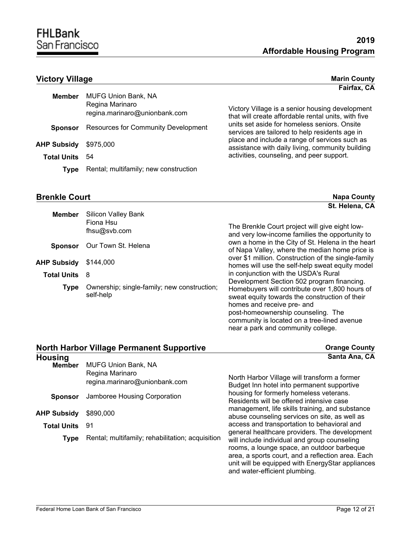**Fairfax, CA**

### **Victory Village** Marin County

| <b>Member</b>                | <b>MUFG Union Bank, NA</b><br>Regina Marinaro<br>regina.marinaro@unionbank.com |  |
|------------------------------|--------------------------------------------------------------------------------|--|
| <b>Sponsor</b>               | <b>Resources for Community Development</b>                                     |  |
| <b>AHP Subsidy</b> \$975,000 |                                                                                |  |
| <b>Total Units</b>           | -54                                                                            |  |
| <b>Type</b>                  | Rental; multifamily; new construction                                          |  |

Victory Village is a senior housing development that will create affordable rental units, with five units set aside for homeless seniors. Onsite services are tailored to help residents age in place and include a range of services such as assistance with daily living, community building activities, counseling, and peer support.

near a park and community college.

and water-efficient plumbing.

#### **Brenkle Court Napa County Napa County Napa County Napa County**

|                      |                                                          | St. Helena, CA                                                                                                                                                                                                                                                    |
|----------------------|----------------------------------------------------------|-------------------------------------------------------------------------------------------------------------------------------------------------------------------------------------------------------------------------------------------------------------------|
| <b>Member</b>        | <b>Silicon Valley Bank</b><br>Fiona Hsu<br>fhsu@svb.com  | The Brenkle Court project will give eight low-<br>and very low-income families the opportunity to                                                                                                                                                                 |
| <b>Sponsor</b>       | Our Town St. Helena                                      | own a home in the City of St. Helena in the heart<br>of Napa Valley, where the median home price is                                                                                                                                                               |
| <b>AHP Subsidy</b>   | \$144,000                                                | over \$1 million. Construction of the single-family<br>homes will use the self-help sweat equity model                                                                                                                                                            |
| <b>Total Units</b> 8 |                                                          | in conjunction with the USDA's Rural                                                                                                                                                                                                                              |
| <b>Type</b>          | Ownership; single-family; new construction;<br>self-help | Development Section 502 program financing.<br>Homebuyers will contribute over 1,800 hours of<br>sweat equity towards the construction of their<br>homes and receive pre- and<br>post-homeownership counseling. The<br>community is located on a tree-lined avenue |

| <b>North Harbor Village Permanent Supportive</b> |                                                  | <b>Orange County</b>                                                                                                                                                                                |
|--------------------------------------------------|--------------------------------------------------|-----------------------------------------------------------------------------------------------------------------------------------------------------------------------------------------------------|
| <b>Housing</b><br><b>Member</b>                  | <b>MUFG Union Bank, NA</b>                       | Santa Ana, CA                                                                                                                                                                                       |
|                                                  | Regina Marinaro<br>regina.marinaro@unionbank.com | North Harbor Village will transform a former<br>Budget Inn hotel into permanent supportive                                                                                                          |
| <b>Sponsor</b>                                   | Jamboree Housing Corporation                     | housing for formerly homeless veterans.<br>Residents will be offered intensive case                                                                                                                 |
| <b>AHP Subsidy</b>                               | \$890,000                                        | management, life skills training, and substance<br>abuse counseling services on site, as well as                                                                                                    |
| Total Units                                      | 91                                               | access and transportation to behavioral and<br>general healthcare providers. The development                                                                                                        |
| <b>Type</b>                                      | Rental; multifamily; rehabilitation; acquisition | will include individual and group counseling<br>rooms, a lounge space, an outdoor barbeque<br>area, a sports court, and a reflection area. Each<br>unit will be equipped with EnergyStar appliances |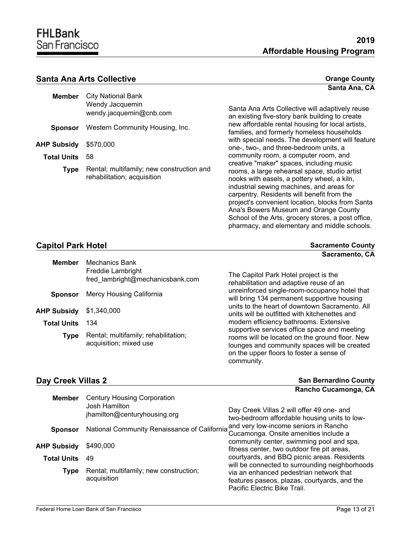**Santa Ana, CA**

**Sacramento, CA**

#### **Santa Ana Arts Collective Collective Collective Collective Collective Collective Collective Collective Collective Collective Collective Collective Collective Collective Collective Collective**

| Member             | City National Bank<br>Wendy Jacquemin<br>wendy.jacquemin@cnb.com         |
|--------------------|--------------------------------------------------------------------------|
| <b>Sponsor</b>     | Western Community Housing, Inc.                                          |
| AHP Subsidy        | \$570,000                                                                |
| <b>Total Units</b> | 58                                                                       |
| <b>Type</b>        | Rental; multifamily; new construction and<br>rehabilitation; acquisition |

Santa Ana Arts Collective will adaptively reuse an existing five-story bank building to create new affordable rental housing for local artists, families, and formerly homeless households with special needs. The development will feature one-, two-, and three-bedroom units, a community room, a computer room, and creative "maker" spaces, including music rooms, a large rehearsal space, studio artist nooks with easels, a pottery wheel, a kiln, industrial sewing machines, and areas for carpentry. Residents will benefit from the project's convenient location, blocks from Santa Ana's Bowers Museum and Orange County School of the Arts, grocery stores, a post office, pharmacy, and elementary and middle schools.

#### **Capitol Park Hotel Sacramento County Sacramento County**

| <b>Member</b>      | Mechanics Bank<br>Freddie Lambright<br>fred lambright@mechanicsbank.com | The Cap<br>rehabilita                        |
|--------------------|-------------------------------------------------------------------------|----------------------------------------------|
| <b>Sponsor</b>     | Mercy Housing California                                                | unreinfor<br>will bring                      |
| AHP Subsidy        | \$1,340,000                                                             | units to t<br>units will                     |
| <b>Total Units</b> | 134                                                                     | modern                                       |
| Type               | Rental; multifamily; rehabilitation;<br>acquisition; mixed use          | supportiv<br>rooms w<br>lounges<br>on the ur |

itol Park Hotel project is the ation and adaptive reuse of an rced single-room-occupancy hotel that 134 permanent supportive housing he heart of downtown Sacramento. All be outfitted with kitchenettes and efficiency bathrooms. Extensive ve services office space and meeting rill be located on the ground floor. New and community spaces will be created pper floors to foster a sense of community.

| Day Creek Villas 2 |                                           | <b>San Bernardino County</b> |
|--------------------|-------------------------------------------|------------------------------|
|                    |                                           | Rancho Cucamonga, CA         |
|                    | <b>Member</b> Century Housing Corporation |                              |
|                    | .losh Hamilton.                           |                              |

|                    | Josh Hamilton<br>jhamilton@centuryhousing.org         | Day Creek Villas 2 will offer 49 one- and<br>two-bedroom affordable housing units to low-                               |
|--------------------|-------------------------------------------------------|-------------------------------------------------------------------------------------------------------------------------|
| <b>Sponsor</b>     | National Community Renaissance of California          | and very low-income seniors in Rancho<br>Cucamonga. Onsite amenities include a                                          |
| <b>AHP Subsidy</b> | \$490,000                                             | community center, swimming pool and spa,<br>fitness center, two outdoor fire pit areas,                                 |
| <b>Total Units</b> | 49                                                    | courtyards, and BBQ picnic areas. Residents<br>will be connected to surrounding neighborhoods                           |
| Type               | Rental; multifamily; new construction;<br>acquisition | via an enhanced pedestrian network that<br>features paseos, plazas, courtyards, and the<br>Pacific Electric Bike Trail. |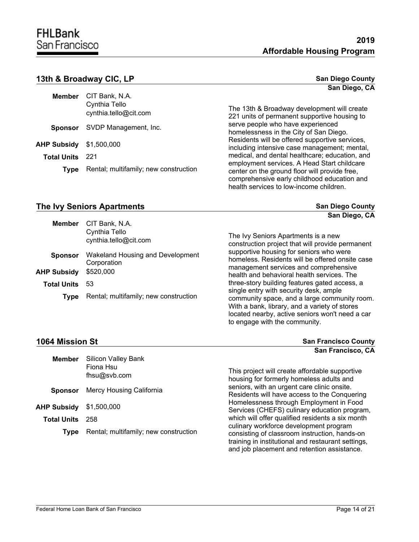#### **13th & Broadway CIC, LP San Diego County San Diego County**

|                                | <b>Member</b> CIT Bank, N.A.<br>Cynthia Tello<br>cynthia.tello@cit.com |
|--------------------------------|------------------------------------------------------------------------|
|                                | <b>Sponsor</b> SVDP Management, Inc.                                   |
| <b>AHP Subsidy</b> \$1,500,000 |                                                                        |
| <b>Total Units</b> 221         |                                                                        |
| <b>Type</b>                    | Rental; multifamily; new construction                                  |

# **San Diego, CA**

**San Diego, CA**

The 13th & Broadway development will create 221 units of permanent supportive housing to serve people who have experienced homelessness in the City of San Diego. Residents will be offered supportive services, including intensive case management; mental, medical, and dental healthcare; education, and employment services. A Head Start childcare center on the ground floor will provide free, comprehensive early childhood education and health services to low-income children.

#### **The Ivy Seniors Apartments San Diego County**

| <b>Member</b>      | CIT Bank, N.A.<br>Cynthia Tello<br>cynthia.tello@cit.com | The Ivy Seniors Apartments is a new<br>construction project that will provide permanent                                                                                                    |
|--------------------|----------------------------------------------------------|--------------------------------------------------------------------------------------------------------------------------------------------------------------------------------------------|
| <b>Sponsor</b>     | Wakeland Housing and Development<br>Corporation          | supportive housing for seniors who were<br>homeless. Residents will be offered onsite case                                                                                                 |
| AHP Subsidy        | \$520,000                                                | management services and comprehensive<br>health and behavioral health services. The                                                                                                        |
| <b>Total Units</b> | 53                                                       | three-story building features gated access, a                                                                                                                                              |
| <b>Type</b>        | Rental; multifamily; new construction                    | single entry with security desk, ample<br>community space, and a large community room.<br>With a bank, library, and a variety of stores<br>located nearby, active seniors won't need a car |

#### **1064 Mission St San Francisco County**

**Member**

**Sponsor**

**Total Units** 258

**AHP Subsidy** \$1,500,000

This project will create affordable supportive housing for formerly homeless adults and seniors, with an urgent care clinic onsite. Residents will have access to the Conquering Homelessness through Employment in Food Services (CHEFS) culinary education program, which will offer qualified residents a six month culinary workforce development program consisting of classroom instruction, hands-on training in institutional and restaurant settings, and job placement and retention assistance. **San Francisco, CA**

to engage with the community.

**Type** Rental; multifamily; new construction

Mercy Housing California

Silicon Valley Bank

Fiona Hsu fhsu@svb.com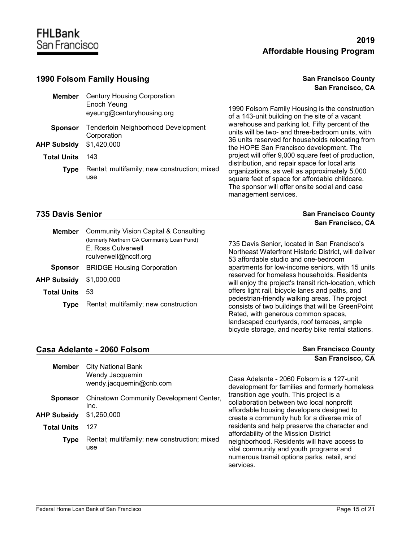#### **1990 Folsom Family Housing <b>San Francisco County** San Francisco County

# **San Francisco, CA**

| <b>Member</b>      | <b>Century Housing Corporation</b>                        |                                                                                                                                                                          |
|--------------------|-----------------------------------------------------------|--------------------------------------------------------------------------------------------------------------------------------------------------------------------------|
|                    | Enoch Yeung<br>eyeung@centuryhousing.org                  | 1990 Folsom Family Housing is the construction<br>of a 143-unit building on the site of a vacant                                                                         |
| <b>Sponsor</b>     | <b>Tenderloin Neighborhood Development</b><br>Corporation | warehouse and parking lot. Fifty percent of the<br>units will be two- and three-bedroom units, with<br>36 units reserved for households relocating from                  |
| <b>AHP Subsidy</b> | \$1,420,000                                               | the HOPE San Francisco development. The                                                                                                                                  |
| <b>Total Units</b> | 143                                                       | project will offer 9,000 square feet of production,<br>distribution, and repair space for local arts                                                                     |
| Type               | Rental; multifamily; new construction; mixed<br>use       | organizations, as well as approximately 5,000<br>square feet of space for affordable childcare.<br>The sponsor will offer onsite social and case<br>management services. |

#### **735 Davis Senior San Francisco County**

|                    |                                                                                                                                    | San Francisco, CA                                                                                                                            |
|--------------------|------------------------------------------------------------------------------------------------------------------------------------|----------------------------------------------------------------------------------------------------------------------------------------------|
| Member             | Community Vision Capital & Consulting<br>(formerly Northern CA Community Loan Fund)<br>E. Ross Culverwell<br>rculverwell@ncclf.org | 735 Davis Senior, located in San Francisco's<br>Northeast Waterfront Historic District, will deliver<br>53 affordable studio and one-bedroom |
| <b>Sponsor</b>     | <b>BRIDGE Housing Corporation</b>                                                                                                  | apartments for low-income seniors, with 15 units                                                                                             |
| <b>AHP Subsidy</b> | \$1,000,000                                                                                                                        | reserved for homeless households. Residents<br>will enjoy the project's transit rich-location, which                                         |
| <b>Total Units</b> | 53                                                                                                                                 | offers light rail, bicycle lanes and paths, and                                                                                              |

**Type** Rental; multifamily; new construction

apartments for low-income seniors, with 15 units will enjoy the project's transit rich-location, which pedestrian-friendly walking areas. The project consists of two buildings that will be GreenPoint Rated, with generous common spaces, landscaped courtyards, roof terraces, ample bicycle storage, and nearby bike rental stations.

**Casa Adelante - 2060 Folsom San Francisco County San Francisco County San Francisco, CA**

| <b>Member</b>      | <b>City National Bank</b><br>Wendy Jacquemin<br>wendy.jacquemin@cnb.com | Casa Adelante - 2060 Folsom is a 127-unit<br>development for families and formerly homeless                                                       |  |  |
|--------------------|-------------------------------------------------------------------------|---------------------------------------------------------------------------------------------------------------------------------------------------|--|--|
| <b>Sponsor</b>     | Chinatown Community Development Center,<br>Inc.                         | transition age youth. This project is a<br>collaboration between two local nonprofit<br>affordable housing developers designed to                 |  |  |
| <b>AHP Subsidy</b> | \$1,260,000                                                             | create a community hub for a diverse mix of                                                                                                       |  |  |
| <b>Total Units</b> | 127                                                                     | residents and help preserve the character and<br>affordability of the Mission District                                                            |  |  |
| <b>Type</b>        | Rental; multifamily; new construction; mixed<br>use                     | neighborhood. Residents will have access to<br>vital community and youth programs and<br>numerous transit options parks, retail, and<br>services. |  |  |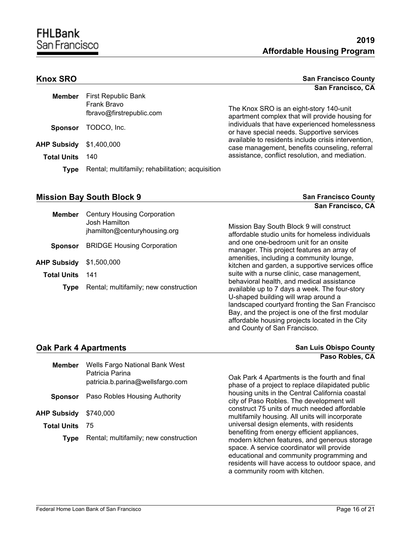#### **Knox SRO** San Francisco County **San Francisco, CA**

| <b>Member</b>      | <b>First Republic Bank</b><br>Frank Bravo<br>fbravo@firstrepublic.com | The Knox SRO is an eight-story 140-unit<br>apartment complex that will provide housing for            |
|--------------------|-----------------------------------------------------------------------|-------------------------------------------------------------------------------------------------------|
| <b>Sponsor</b>     | TODCO, Inc.                                                           | individuals that have experienced homelessness<br>or have special needs. Supportive services          |
| <b>AHP Subsidy</b> | \$1,400,000                                                           | available to residents include crisis intervention,<br>case management, benefits counseling, referral |
| <b>Total Units</b> | 140                                                                   | assistance, conflict resolution, and mediation.                                                       |
| Tvpe               | Rental; multifamily; rehabilitation; acquisition                      |                                                                                                       |

### **Mission Bay South Block 9 San Francisco County San Francisco County**

**San Francisco, CA**

| <b>Member</b>      | <b>Century Housing Corporation</b><br>Josh Hamilton<br>jhamilton@centuryhousing.org | Mission Bay South Block 9 will construct<br>affordable studio units for homeless individuals                                                                                                 |
|--------------------|-------------------------------------------------------------------------------------|----------------------------------------------------------------------------------------------------------------------------------------------------------------------------------------------|
| <b>Sponsor</b>     | <b>BRIDGE Housing Corporation</b>                                                   | and one one-bedroom unit for an onsite<br>manager. This project features an array of                                                                                                         |
| <b>AHP Subsidy</b> | \$1,500,000                                                                         | amenities, including a community lounge,<br>kitchen and garden, a supportive services office                                                                                                 |
| <b>Total Units</b> | 141                                                                                 | suite with a nurse clinic, case management,<br>behavioral health, and medical assistance                                                                                                     |
| Type               | Rental; multifamily; new construction                                               | available up to 7 days a week. The four-story<br>U-shaped building will wrap around a<br>landscaped courtyard fronting the San Francisco<br>Bay, and the project is one of the first modular |

#### **Oak Park 4 Apartments**

| <b>San Luis Obispo County</b> |  |                 |  |
|-------------------------------|--|-----------------|--|
|                               |  | Paso Robles, CA |  |

affordable housing projects located in the City

and County of San Francisco.

| <b>Member</b>      | Wells Fargo National Bank West<br>Patricia Parina<br>patricia.b.parina@wellsfargo.com | Oak Park 4 Apartments is the fourth and final<br>phase of a project to replace dilapidated public                                                                                                                                                                             |
|--------------------|---------------------------------------------------------------------------------------|-------------------------------------------------------------------------------------------------------------------------------------------------------------------------------------------------------------------------------------------------------------------------------|
| <b>Sponsor</b>     | Paso Robles Housing Authority                                                         | housing units in the Central California coastal<br>city of Paso Robles. The development will                                                                                                                                                                                  |
| <b>AHP Subsidy</b> | \$740,000                                                                             | construct 75 units of much needed affordable<br>multifamily housing. All units will incorporate                                                                                                                                                                               |
| <b>Total Units</b> | 75                                                                                    | universal design elements, with residents                                                                                                                                                                                                                                     |
| Type               | Rental; multifamily; new construction                                                 | benefiting from energy efficient appliances,<br>modern kitchen features, and generous storage<br>space. A service coordinator will provide<br>educational and community programming and<br>residents will have access to outdoor space, and<br>a community room with kitchen. |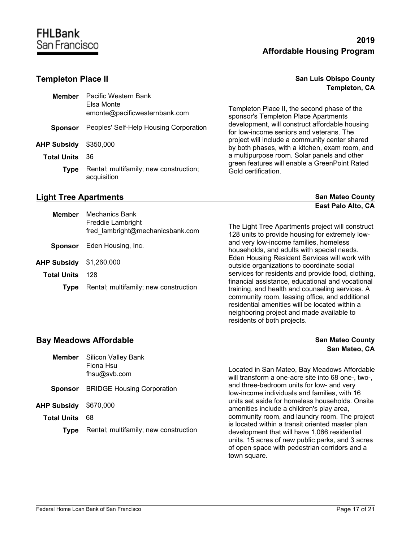| Member                       | Pacific Western Bank<br>Elsa Monte<br>emonte@pacificwesternbank.com |
|------------------------------|---------------------------------------------------------------------|
| <b>Sponsor</b>               | Peoples' Self-Help Housing Corporation                              |
| <b>AHP Subsidy</b> \$350,000 |                                                                     |
| <b>Total Units</b>           | 36.                                                                 |
| Type                         | Rental; multifamily; new construction;<br>acquisition               |

#### **Templeton Place II San Luis Obispo County San Luis Obispo County Templeton, CA**

Templeton Place II, the second phase of the sponsor's Templeton Place Apartments development, will construct affordable housing for low-income seniors and veterans. The project will include a community center shared by both phases, with a kitchen, exam room, and a multipurpose room. Solar panels and other green features will enable a GreenPoint Rated Gold certification.

residents of both projects.

| <b>Light Tree Apartments</b> | <b>San Mateo County</b>   |
|------------------------------|---------------------------|
|                              | <b>East Palo Alto, CA</b> |

| <b>Member</b>      | <b>Mechanics Bank</b><br>Freddie Lambright<br>fred_lambright@mechanicsbank.com | The Light Tree Apartments project will construct<br>128 units to provide housing for extremely low-                                                                                                                                                  |
|--------------------|--------------------------------------------------------------------------------|------------------------------------------------------------------------------------------------------------------------------------------------------------------------------------------------------------------------------------------------------|
| <b>Sponsor</b>     | Eden Housing, Inc.                                                             | and very low-income families, homeless<br>households, and adults with special needs.                                                                                                                                                                 |
| AHP Subsidy        | \$1,260,000                                                                    | Eden Housing Resident Services will work with<br>outside organizations to coordinate social                                                                                                                                                          |
| <b>Total Units</b> | 128                                                                            | services for residents and provide food, clothing,                                                                                                                                                                                                   |
| Type               | Rental; multifamily; new construction                                          | financial assistance, educational and vocational<br>training, and health and counseling services. A<br>community room, leasing office, and additional<br>residential amenities will be located within a<br>neighboring project and made available to |

#### **Bay Meadows Affordable San Mateo County San Mateo County**

|                    |                                       | San Mateo, CA                                                                                                                                                                                                         |
|--------------------|---------------------------------------|-----------------------------------------------------------------------------------------------------------------------------------------------------------------------------------------------------------------------|
| <b>Member</b>      | <b>Silicon Valley Bank</b>            |                                                                                                                                                                                                                       |
|                    | Fiona Hsu                             | Located in San Mateo, Bay Meadows Affordable                                                                                                                                                                          |
|                    | fhsu@svb.com                          | will transform a one-acre site into 68 one-, two-,                                                                                                                                                                    |
| <b>Sponsor</b>     | <b>BRIDGE Housing Corporation</b>     | and three-bedroom units for low- and very<br>low-income individuals and families, with 16                                                                                                                             |
| AHP Subsidy        | \$670,000                             | units set aside for homeless households. Onsite<br>amenities include a children's play area,                                                                                                                          |
| <b>Total Units</b> | 68                                    | community room, and laundry room. The project                                                                                                                                                                         |
| <b>Type</b>        | Rental; multifamily; new construction | is located within a transit oriented master plan<br>development that will have 1,066 residential<br>units, 15 acres of new public parks, and 3 acres<br>of open space with pedestrian corridors and a<br>town square. |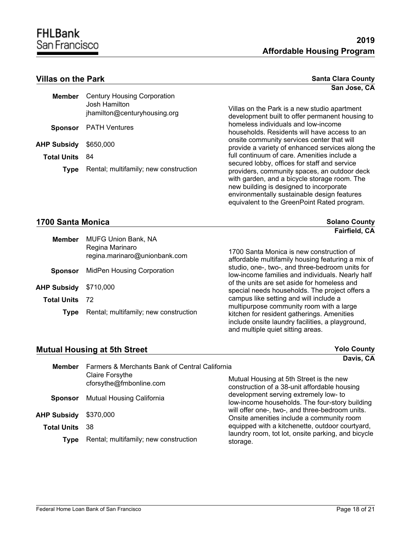equivalent to the GreenPoint Rated program.

#### **Villas on the Park**

| <b>Santa Clara County</b> |              |  |
|---------------------------|--------------|--|
|                           | San Jose, CA |  |

| <b>Member</b>         | <b>Century Housing Corporation</b><br>Josh Hamilton<br>jhamilton@centuryhousing.org | Villas on the Park is a new studio apartment<br>development built to offer permanent housing to                                                                                                                                        |
|-----------------------|-------------------------------------------------------------------------------------|----------------------------------------------------------------------------------------------------------------------------------------------------------------------------------------------------------------------------------------|
| <b>Sponsor</b>        | <b>PATH Ventures</b>                                                                | homeless individuals and low-income<br>households. Residents will have access to an                                                                                                                                                    |
| <b>AHP Subsidy</b>    | \$650,000                                                                           | onsite community services center that will<br>provide a variety of enhanced services along the                                                                                                                                         |
| <b>Total Units</b> 84 |                                                                                     | full continuum of care. Amenities include a                                                                                                                                                                                            |
| <b>Type</b>           | Rental; multifamily; new construction                                               | secured lobby, offices for staff and service<br>providers, community spaces, an outdoor deck<br>with garden, and a bicycle storage room. The<br>new building is designed to incorporate<br>environmentally sustainable design features |

### **1700 Santa Monica Solano County Solano County Solano County**

|                    |                                               | <b>Fairfield, CA</b>                                                                                                                                                            |
|--------------------|-----------------------------------------------|---------------------------------------------------------------------------------------------------------------------------------------------------------------------------------|
| <b>Member</b>      | <b>MUFG Union Bank, NA</b><br>Regina Marinaro |                                                                                                                                                                                 |
|                    | regina.marinaro@unionbank.com                 | 1700 Santa Monica is new construction of<br>affordable multifamily housing featuring a mix of                                                                                   |
| <b>Sponsor</b>     | MidPen Housing Corporation                    | studio, one-, two-, and three-bedroom units for<br>low-income families and individuals. Nearly half                                                                             |
| <b>AHP Subsidy</b> | \$710,000                                     | of the units are set aside for homeless and<br>special needs households. The project offers a                                                                                   |
| <b>Total Units</b> | -72                                           | campus like setting and will include a                                                                                                                                          |
| <b>Type</b>        | Rental; multifamily; new construction         | multipurpose community room with a large<br>kitchen for resident gatherings. Amenities<br>include onsite laundry facilities, a playground,<br>and multiple quiet sitting areas. |

#### **Mutual Housing at 5th Street <b>With Street** *Mutual Housing at 5th Street Yolo County*

|                    |                                                   | Davis, CA                                                                                    |
|--------------------|---------------------------------------------------|----------------------------------------------------------------------------------------------|
| <b>Member</b>      | Farmers & Merchants Bank of Central California    |                                                                                              |
|                    | <b>Claire Forsythe</b><br>cforsythe@fmbonline.com | Mutual Housing at 5th Street is the new<br>construction of a 38-unit affordable housing      |
| <b>Sponsor</b>     | Mutual Housing California                         | development serving extremely low- to<br>low-income households. The four-story building      |
| <b>AHP Subsidy</b> | \$370,000                                         | will offer one-, two-, and three-bedroom units.<br>Onsite amenities include a community room |
| <b>Total Units</b> | 38                                                | equipped with a kitchenette, outdoor courtyard,                                              |
| Type               | Rental; multifamily; new construction             | laundry room, tot lot, onsite parking, and bicycle<br>storage.                               |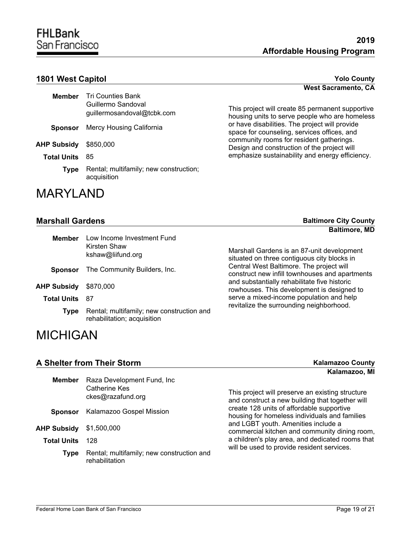### **1801 West Capitol Yolo County**

| Member             | <b>Tri Counties Bank</b><br>Guillermo Sandoval<br>quillermosandoval@tcbk.com |
|--------------------|------------------------------------------------------------------------------|
| Sponsor            | Mercy Housing California                                                     |
| AHP Subsidy        | \$850,000                                                                    |
| <b>Total Units</b> | 85                                                                           |
| <b>Type</b>        | Rental; multifamily; new construction;<br>acquisition                        |

# MARYLAND

#### **Marshall Gardens**

| <b>Baltimore City County</b> |  |
|------------------------------|--|
| <b>Baltimore, MD</b>         |  |

| <b>Member</b>      | Low Income Investment Fund<br>Kirsten Shaw                               |                                                                                                                                                                                                                                                                                                                                   |
|--------------------|--------------------------------------------------------------------------|-----------------------------------------------------------------------------------------------------------------------------------------------------------------------------------------------------------------------------------------------------------------------------------------------------------------------------------|
| kshaw@liifund.org  |                                                                          | Marshall Gardens is an 87-unit development<br>situated on three contiguous city blocks in<br>Central West Baltimore. The project will<br>construct new infill townhouses and apartments<br>and substantially rehabilitate five historic<br>rowhouses. This development is designed to<br>serve a mixed-income population and help |
| <b>Sponsor</b>     | The Community Builders, Inc.                                             |                                                                                                                                                                                                                                                                                                                                   |
| <b>AHP Subsidy</b> | \$870,000                                                                |                                                                                                                                                                                                                                                                                                                                   |
| <b>Total Units</b> | 87                                                                       |                                                                                                                                                                                                                                                                                                                                   |
| Type               | Rental; multifamily; new construction and<br>rehabilitation; acquisition | revitalize the surrounding neighborhood.                                                                                                                                                                                                                                                                                          |
| 11101110111        |                                                                          |                                                                                                                                                                                                                                                                                                                                   |

## MICHIGAN

**A Shelter from Their Storm <b>KALAMAZOO** County **Kalamazoo, MI**

| <b>Member</b>      | Raza Development Fund, Inc.<br>Catherine Kes<br>ckes@razafund.org | This project will preserve an existing structure<br>and construct a new building that together will |
|--------------------|-------------------------------------------------------------------|-----------------------------------------------------------------------------------------------------|
| <b>Sponsor</b>     | Kalamazoo Gospel Mission                                          | create 128 units of affordable supportive<br>housing for homeless individuals and families          |
| <b>AHP Subsidy</b> | \$1,500,000                                                       | and LGBT youth. Amenities include a<br>commercial kitchen and community dining room,                |
| <b>Total Units</b> | 128                                                               | a children's play area, and dedicated rooms that<br>will be used to provide resident services.      |
| Type               | Rental; multifamily; new construction and<br>rehabilitation       |                                                                                                     |

# **West Sacramento, CA**

This project will create 85 permanent supportive housing units to serve people who are homeless or have disabilities. The project will provide space for counseling, services offices, and community rooms for resident gatherings. Design and construction of the project will emphasize sustainability and energy efficiency.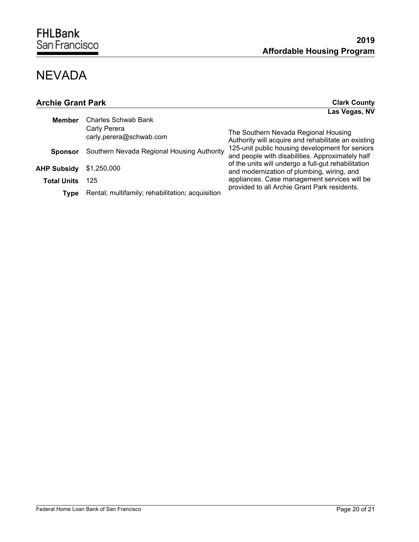# NEVADA

| <b>Archie Grant Park</b> |                                                  | <b>Clark County</b>                                                                                 |
|--------------------------|--------------------------------------------------|-----------------------------------------------------------------------------------------------------|
|                          |                                                  | Las Vegas, NV                                                                                       |
| <b>Member</b>            | Charles Schwab Bank                              |                                                                                                     |
|                          | Carly Perera<br>carly.perera@schwab.com          | The Southern Nevada Regional Housing<br>Authority will acquire and rehabilitate an existing         |
| <b>Sponsor</b>           | Southern Nevada Regional Housing Authority       | 125-unit public housing development for seniors<br>and people with disabilities. Approximately half |
| <b>AHP Subsidy</b>       | \$1,250,000                                      | of the units will undergo a full-gut rehabilitation<br>and modernization of plumbing, wiring, and   |
| <b>Total Units</b>       | 125                                              | appliances. Case management services will be                                                        |
| Type                     | Rental; multifamily; rehabilitation; acquisition | provided to all Archie Grant Park residents.                                                        |